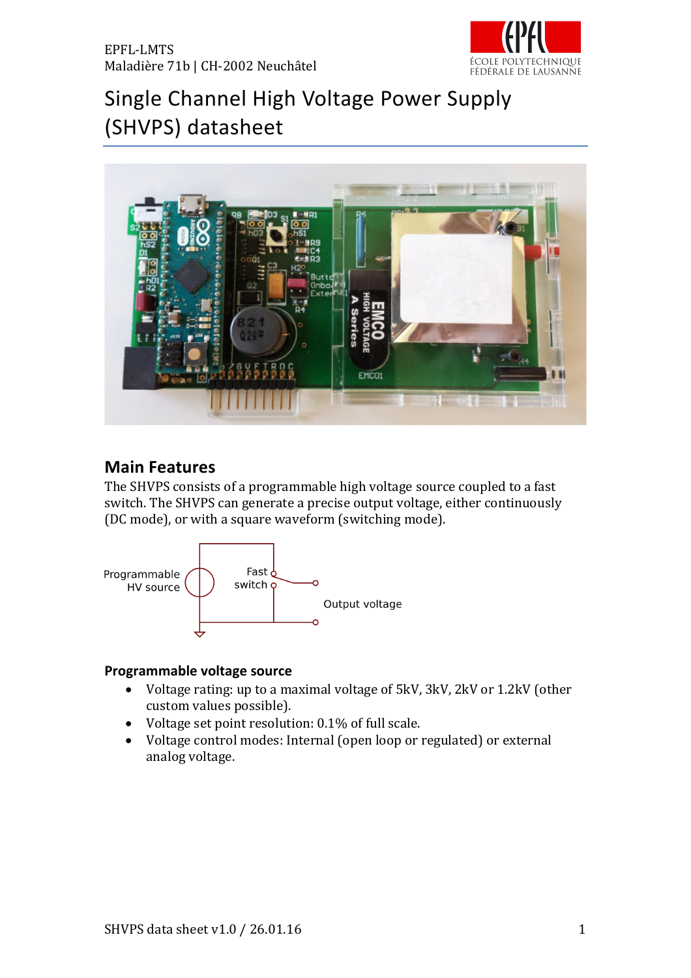

# Single Channel High Voltage Power Supply (SHVPS) datasheet



## **Main Features**

The SHVPS consists of a programmable high voltage source coupled to a fast switch. The SHVPS can generate a precise output voltage, either continuously (DC mode), or with a square waveform (switching mode).



#### **Programmable voltage source**

- Voltage rating: up to a maximal voltage of 5kV, 3kV, 2kV or 1.2kV (other custom values possible).
- Voltage set point resolution:  $0.1\%$  of full scale.
- Voltage control modes: Internal (open loop or regulated) or external analog voltage.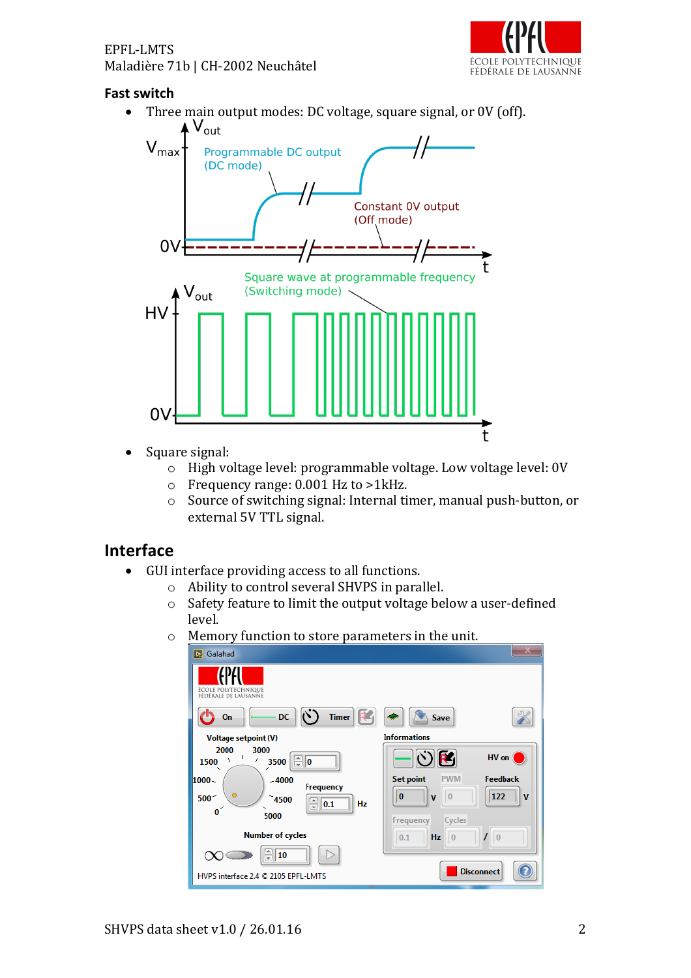

#### **Fast switch**

• Three main output modes: DC voltage, square signal, or 0V (off).



- Square signal:
	- o High voltage level: programmable voltage. Low voltage level: 0V
	- $\circ$  Frequency range: 0.001 Hz to >1kHz.
	- $\circ$  Source of switching signal: Internal timer, manual push-button, or external 5V TTL signal.

## **Interface**

- GUI interface providing access to all functions.
	- $\circ$  Ability to control several SHVPS in parallel.
	- $\circ$  Safety feature to limit the output voltage below a user-defined level.
	- $\circ$  Memory function to store parameters in the unit.

| Galahad<br>b.                                                                           |                                                           |
|-----------------------------------------------------------------------------------------|-----------------------------------------------------------|
| ÉCOLE POLYTECHNIQUE<br>FÉDÉRALE DE LAUSANNE                                             |                                                           |
| $\mathcal{C}$<br>Timer   R<br>DC.<br>On                                                 | Save                                                      |
| <b>Voltage setpoint (V)</b>                                                             | <b>Informations</b>                                       |
| 2000<br>3000<br>$\mathbf{I}$<br>$\frac{1}{x}$<br>ı<br>٧<br>1500<br>3500<br>10<br>╱<br>↖ | $\mathfrak{S}(\mathbf{C})$<br>HV on                       |
| $-4000$<br>1000                                                                         | <b>Feedback</b><br><b>Set point</b><br><b>PWM</b>         |
| <b>Frequency</b><br>$500 -$<br>4500<br>Ę<br> 0.1<br>Hz<br>$\mathbf{0}^{\prime}$<br>5000 | $\bf{0}$<br>122<br>$\bf{0}$<br>$\mathbf v$<br>$\mathbf v$ |
|                                                                                         | Cycles<br>Frequency                                       |
| <b>Number of cycles</b>                                                                 | $\overline{0}$<br>0.1<br>Hz<br>$ 0\rangle$                |
| 10                                                                                      |                                                           |
| HVPS interface 2.4 @ 2105 EPFL-LMTS                                                     | <b>Disconnect</b>                                         |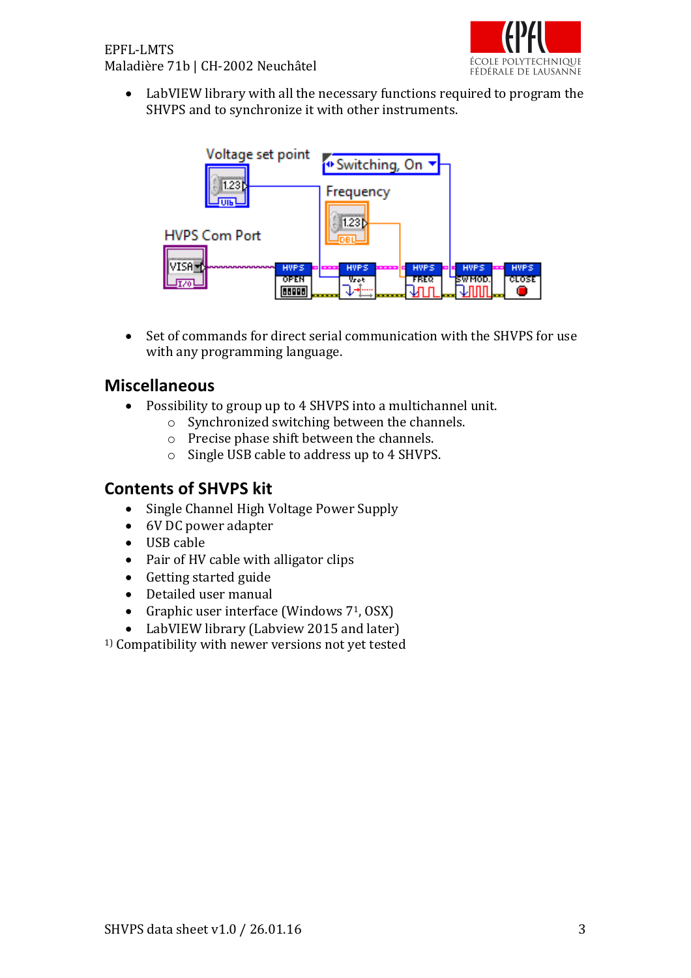

• LabVIEW library with all the necessary functions required to program the SHVPS and to synchronize it with other instruments.



• Set of commands for direct serial communication with the SHVPS for use with any programming language.

### **Miscellaneous**

- Possibility to group up to 4 SHVPS into a multichannel unit.
	- $\circ$  Synchronized switching between the channels.
	- $\circ$  Precise phase shift between the channels.
	- o Single USB cable to address up to 4 SHVPS.

# **Contents of SHVPS kit**

- Single Channel High Voltage Power Supply
- 6V DC power adapter
- USB cable
- Pair of HV cable with alligator clips
- Getting started guide
- Detailed user manual
- Graphic user interface (Windows  $7^1$ , OSX)
- LabVIEW library (Labview 2015 and later)

<sup>1)</sup> Compatibility with newer versions not yet tested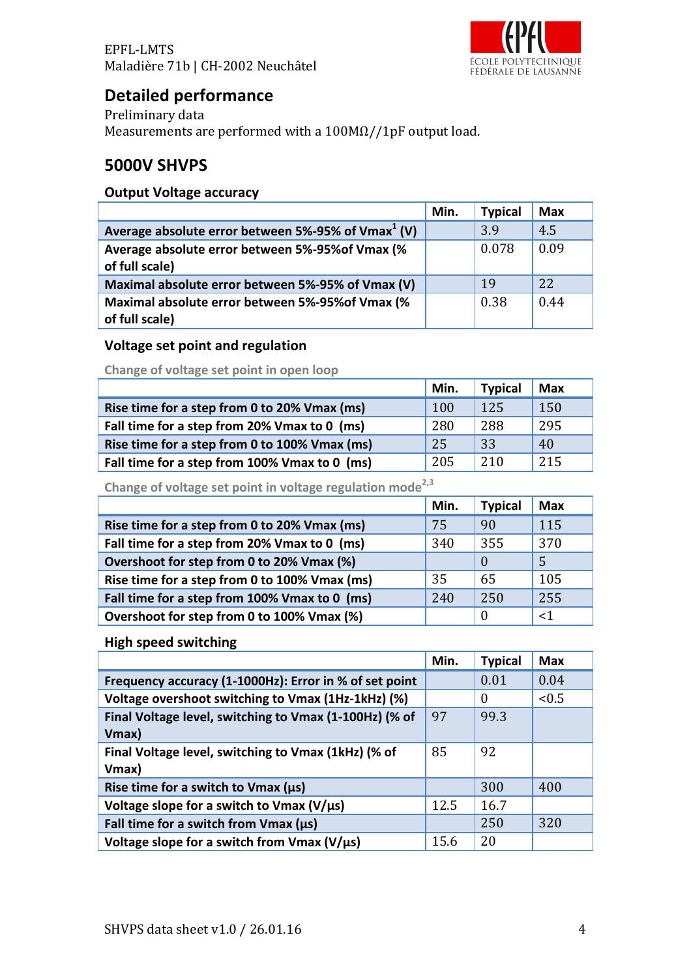

# **Detailed performance**

Preliminary data Measurements are performed with a  $100M\Omega/1pF$  output load.

## **5000V SHVPS**

#### **Output Voltage accuracy**

|                                                                    | Min. | <b>Typical</b> | <b>Max</b> |
|--------------------------------------------------------------------|------|----------------|------------|
| Average absolute error between 5%-95% of Vmax $1$ (V)              |      | 3.9            | 4.5        |
| Average absolute error between 5%-95% of Vmax (%<br>of full scale) |      | 0.078          | 0.09       |
| Maximal absolute error between 5%-95% of Vmax (V)                  |      | 19             | 22         |
| Maximal absolute error between 5%-95% of Vmax (%<br>of full scale) |      | 0.38           | 0.44       |

#### **Voltage set point and regulation**

**Change of voltage set point in open loop** 

|                                               | Min. | <b>Typical</b> | <b>Max</b> |
|-----------------------------------------------|------|----------------|------------|
| Rise time for a step from 0 to 20% Vmax (ms)  | 100  | 125            | 150        |
| Fall time for a step from 20% Vmax to 0 (ms)  | 280  | 288            | 295        |
| Rise time for a step from 0 to 100% Vmax (ms) | 25   | 33             | 40         |
| Fall time for a step from 100% Vmax to 0 (ms) | 205  | 210            | 215        |

Change of voltage set point in voltage regulation mode<sup>2,3</sup>

|                                               | Min. | <b>Typical</b> | <b>Max</b> |
|-----------------------------------------------|------|----------------|------------|
| Rise time for a step from 0 to 20% Vmax (ms)  | 75   | 90             | 115        |
| Fall time for a step from 20% Vmax to 0 (ms)  | 340  | 355            | 370        |
| Overshoot for step from 0 to 20% Vmax (%)     |      | $\Omega$       |            |
| Rise time for a step from 0 to 100% Vmax (ms) | 35   | 65             | 105        |
| Fall time for a step from 100% Vmax to 0 (ms) | 240  | 250            | 255        |
| Overshoot for step from 0 to 100% Vmax (%)    |      | 0              | $<$ 1      |

**High speed switching**

|                                                        | Min. | <b>Typical</b> | <b>Max</b> |
|--------------------------------------------------------|------|----------------|------------|
| Frequency accuracy (1-1000Hz): Error in % of set point |      | 0.01           | 0.04       |
| Voltage overshoot switching to Vmax (1Hz-1kHz) (%)     |      | $\Omega$       | < 0.5      |
| Final Voltage level, switching to Vmax (1-100Hz) (% of | 97   | 99.3           |            |
| Vmax)                                                  |      |                |            |
| Final Voltage level, switching to Vmax (1kHz) (% of    | 85   | 92             |            |
| Vmax)                                                  |      |                |            |
| Rise time for a switch to $V$ max ( $\mu s$ )          |      | 300            | 400        |
| Voltage slope for a switch to Vmax ( $V/\mu s$ )       | 12.5 | 16.7           |            |
| Fall time for a switch from Vmax (us)                  |      | 250            | 320        |
| Voltage slope for a switch from Vmax ( $V/\mu s$ )     | 15.6 | 20             |            |